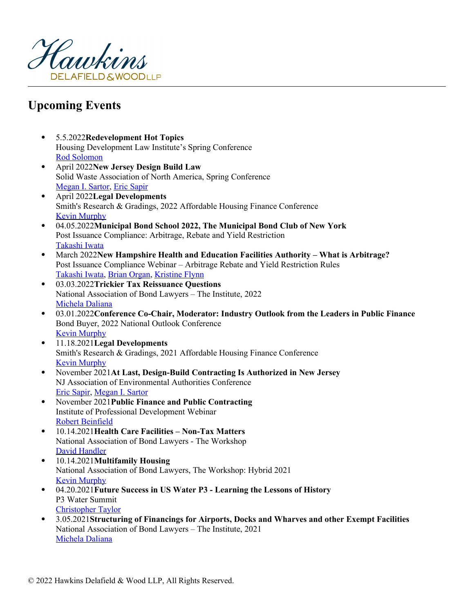

## **Upcoming Events**

- 5.5.2022**Redevelopment Hot Topics** Housing Development Law Institute's Spring Conference [Rod Solomon](https://www.hawkins.com/attorneys/rod-solomon)
- April 2022**New Jersey Design Build Law** Solid Waste Association of North America, Spring Conferenc[e](https://www.hawkins.com/attorneys/megan-sartor) [Megan I. Sartor](https://www.hawkins.com/attorneys/megan-sartor), [Eric Sapir](https://www.hawkins.com/attorneys/eric-sapir)
- April 2022**Legal Developments** Smith's Research & Gradings, 2022 Affordable Housing Finance Conference [Kevin Murphy](https://www.hawkins.com/attorneys/kevin-murphy)
- 04.05.2022**Municipal Bond School 2022, The Municipal Bond Club of New York** Post Issuance Compliance: Arbitrage, Rebate and Yield Restrictio[n](https://www.hawkins.com/attorneys/takashi-iwata) [Takashi Iwata](https://www.hawkins.com/attorneys/takashi-iwata)
- March 2022**New Hampshire Health and Education Facilities Authority What is Arbitrage?** Post Issuance Compliance Webinar – Arbitrage Rebate and Yield Restriction Rules [Takashi Iwata](https://www.hawkins.com/attorneys/takashi-iwata), [Brian Organ](https://www.hawkins.com/attorneys/brian-organ), [Kristine Flynn](https://www.hawkins.com/attorneys/kristine-flynn)
- 03.03.2022**Trickier Tax Reissuance Questions** National Association of Bond Lawyers – The Institute, 202[2](https://www.hawkins.com/attorneys/michela-daliana) [Michela Daliana](https://www.hawkins.com/attorneys/michela-daliana)
- 03.01.2022**Conference Co-Chair, Moderator: [Industry Outlook from the Leaders in Public Finance](https://www.hawkins.com/attorneys/kevin-murphy)** Bond Buyer, 2022 National Outlook Conference [Kevin Murphy](https://www.hawkins.com/attorneys/kevin-murphy)
- 11.18.2021**Legal Developments** Smith's Research & Gradings, 2021 Affordable Housing Finance Conference [Kevin Murphy](https://www.hawkins.com/attorneys/kevin-murphy)
- November 2021**At Last, Design-Build Contracting Is [Authorized in New Jersey](https://www.hawkins.com/attorneys/eric-sapir)** NJ Association of Environmental Authorities Conference [Eric Sapir](https://www.hawkins.com/attorneys/eric-sapir), [Megan I. Sartor](https://www.hawkins.com/attorneys/megan-sartor)
- November 2021**Public Finance and Public C[ontracting](https://www.hawkins.com/attorneys/robert-beinfield)** Institute of Professional Development Webinar [Robert Beinfield](https://www.hawkins.com/attorneys/robert-beinfield)
- 10.14.2021**Health Care Facilities Non-Tax Matters** National Association of Bond Lawyers - The Workshop [David Handler](https://www.hawkins.com/attorneys/david-handler)
- 10.14.2021**Multifamily Housing** National Association of Bond Lawyers, The Workshop: Hybrid 2021 [Kevin Murphy](https://www.hawkins.com/attorneys/kevin-murphy)
- 04.20.2021**Future Success in US Water P3 Learning the Lessons of History** P3 Water Summit [Christopher Taylor](https://www.hawkins.com/attorneys/christopher-taylor)
- 3.05.2021**Structuring of Financings for Airports, Docks and Wharves and other Exempt Facilities** National Association of Bond Lawyers – The Institute, 202[1](https://www.hawkins.com/attorneys/michela-daliana) [Michela Daliana](https://www.hawkins.com/attorneys/michela-daliana)